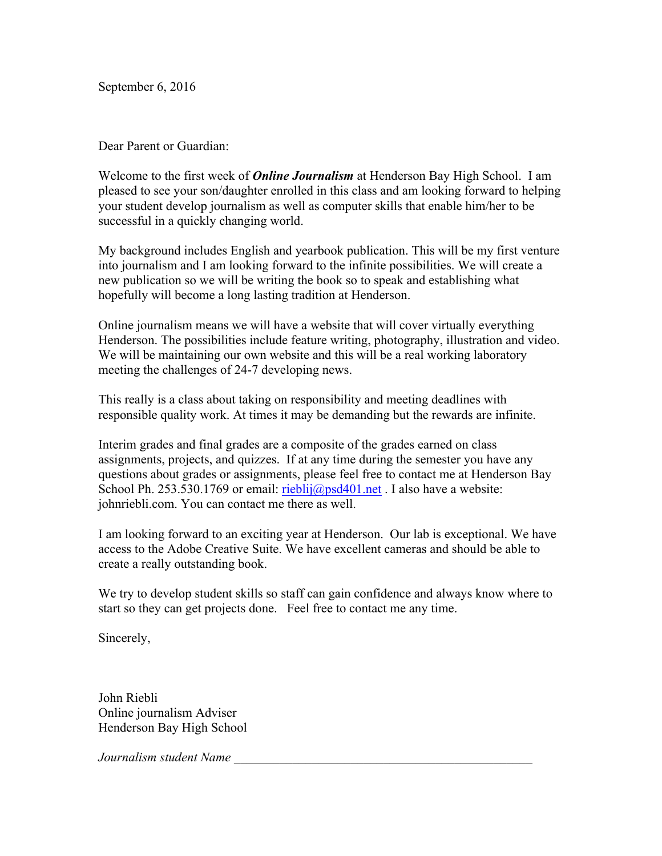September 6, 2016

Dear Parent or Guardian:

Welcome to the first week of *Online Journalism* at Henderson Bay High School. I am pleased to see your son/daughter enrolled in this class and am looking forward to helping your student develop journalism as well as computer skills that enable him/her to be successful in a quickly changing world.

My background includes English and yearbook publication. This will be my first venture into journalism and I am looking forward to the infinite possibilities. We will create a new publication so we will be writing the book so to speak and establishing what hopefully will become a long lasting tradition at Henderson.

Online journalism means we will have a website that will cover virtually everything Henderson. The possibilities include feature writing, photography, illustration and video. We will be maintaining our own website and this will be a real working laboratory meeting the challenges of 24-7 developing news.

This really is a class about taking on responsibility and meeting deadlines with responsible quality work. At times it may be demanding but the rewards are infinite.

Interim grades and final grades are a composite of the grades earned on class assignments, projects, and quizzes. If at any time during the semester you have any questions about grades or assignments, please feel free to contact me at Henderson Bay School Ph. 253.530.1769 or email: rieblij@psd401.net . I also have a website: johnriebli.com. You can contact me there as well.

I am looking forward to an exciting year at Henderson. Our lab is exceptional. We have access to the Adobe Creative Suite. We have excellent cameras and should be able to create a really outstanding book.

We try to develop student skills so staff can gain confidence and always know where to start so they can get projects done. Feel free to contact me any time.

Sincerely,

John Riebli Online journalism Adviser Henderson Bay High School

*Journalism student Name \_\_\_\_\_\_\_\_\_\_\_\_\_\_\_\_\_\_\_\_\_\_\_\_\_\_\_\_\_\_\_\_\_\_\_\_\_\_\_\_\_\_\_\_\_\_*